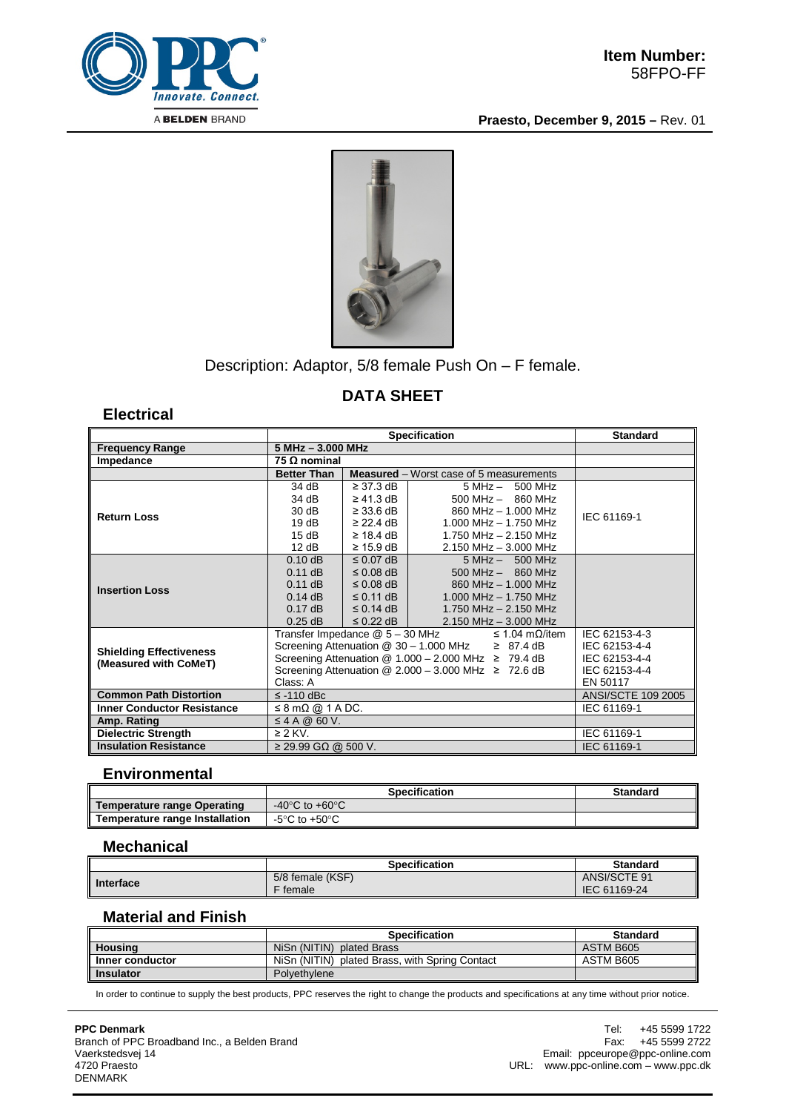

**Praesto, December 9, 2015 –** Rev. 01



Description: Adaptor, 5/8 female Push On – F female.

# **DATA SHEET**

**Electrical**

|                                                         | <b>Specification</b>                                                                                                                                                                                                                                                        |                                                                                                          |                                                                                                                                                        | <b>Standard</b>           |
|---------------------------------------------------------|-----------------------------------------------------------------------------------------------------------------------------------------------------------------------------------------------------------------------------------------------------------------------------|----------------------------------------------------------------------------------------------------------|--------------------------------------------------------------------------------------------------------------------------------------------------------|---------------------------|
| <b>Frequency Range</b>                                  |                                                                                                                                                                                                                                                                             | $5 MHz - 3.000 MHz$                                                                                      |                                                                                                                                                        |                           |
| Impedance                                               | 75 $\Omega$ nominal                                                                                                                                                                                                                                                         |                                                                                                          |                                                                                                                                                        |                           |
|                                                         | <b>Better Than</b>                                                                                                                                                                                                                                                          |                                                                                                          | <b>Measured</b> – Worst case of 5 measurements                                                                                                         |                           |
| <b>Return Loss</b>                                      | 34 dB<br>34 dB<br>30dB<br>19dB<br>15dB<br>12 dB                                                                                                                                                                                                                             | $\geq$ 37 3 dB<br>$\geq$ 41.3 dB<br>$\geq$ 33.6 dB<br>$\geq$ 22.4 dB<br>$\geq$ 18.4 dB<br>$\geq 15.9$ dB | $5 MHz - 500 MHz$<br>$500$ MHz $-$ 860 MHz<br>860 MHz - 1.000 MHz<br>$1.000$ MHz $- 1.750$ MHz<br>1.750 MHz - 2.150 MHz<br>$2.150$ MHz $- 3.000$ MHz   | IEC 61169-1               |
| <b>Insertion Loss</b>                                   | $0.10$ dB<br>$0.11$ dB<br>$0.11$ dB<br>$0.14$ dB<br>$0.17$ dB<br>$0.25$ dB                                                                                                                                                                                                  | $\leq$ 0.07 dB<br>$\leq$ 0.08 dB<br>$\leq 0.08$ dB<br>$\leq$ 0.11 dB<br>$\leq$ 0.14 dB<br>$\leq$ 0.22 dB | $5 MHz - 500 MHz$<br>$500$ MHz $-$ 860 MHz<br>860 MHz - 1.000 MHz<br>$1.000$ MHz $- 1.750$ MHz<br>1.750 MHz $-$ 2.150 MHz<br>$2.150$ MHz $- 3.000$ MHz |                           |
| <b>Shielding Effectiveness</b><br>(Measured with CoMeT) | Transfer Impedance @ 5 - 30 MHz<br>$\leq$ 1.04 m $\Omega$ /item<br>Screening Attenuation @ 30 - 1.000 MHz<br>$\geq 87.4 \text{ dB}$<br>Screening Attenuation @ $1.000 - 2.000$ MHz $\geq 79.4$ dB<br>Screening Attenuation @ $2.000 - 3.000$ MHz $\geq 72.6$ dB<br>Class: A |                                                                                                          | IEC 62153-4-3<br>IEC 62153-4-4<br>IEC 62153-4-4<br>IEC 62153-4-4<br>EN 50117                                                                           |                           |
| <b>Common Path Distortion</b>                           | $\le$ -110 dBc                                                                                                                                                                                                                                                              |                                                                                                          |                                                                                                                                                        | <b>ANSI/SCTE 109 2005</b> |
| <b>Inner Conductor Resistance</b>                       | $\leq$ 8 m $\Omega$ @ 1 A DC.                                                                                                                                                                                                                                               |                                                                                                          |                                                                                                                                                        | IEC 61169-1               |
| Amp. Rating                                             | $\leq$ 4 A @ 60 V.                                                                                                                                                                                                                                                          |                                                                                                          |                                                                                                                                                        |                           |
| <b>Dielectric Strength</b>                              | $\geq$ 2 KV.                                                                                                                                                                                                                                                                |                                                                                                          |                                                                                                                                                        | IEC 61169-1               |
| <b>Insulation Resistance</b>                            | $\geq$ 29.99 GΩ @ 500 V.                                                                                                                                                                                                                                                    |                                                                                                          |                                                                                                                                                        | IEC 61169-1               |

## **Environmental**

|                                | <b>Specification</b>               | <b>Standard</b> |
|--------------------------------|------------------------------------|-----------------|
| Temperature range Operating    | -40 $\degree$ C to +60 $\degree$ C |                 |
| Temperature range Installation | -5°C to +50°C                      |                 |

#### **Mechanical**

|           | <b>Specification</b> | <b>Standard</b> |
|-----------|----------------------|-----------------|
| Interface | 5/8 female (KSF)     | ANSI/SCTE 91    |
|           | F female             | IEC 61169-24    |

### **Material and Finish**

|                  | <b>Specification</b>                           | <b>Standard</b> |
|------------------|------------------------------------------------|-----------------|
| <b>Housing</b>   | NiSn (NITIN) plated Brass                      | ASTM B605       |
| Inner conductor  | NiSn (NITIN) plated Brass, with Spring Contact | ASTM B605       |
| <b>Insulator</b> | Polvethvlene                                   |                 |

In order to continue to supply the best products, PPC reserves the right to change the products and specifications at any time without prior notice.

**PPC Denmark** Branch of PPC Broadband Inc., a Belden Brand Vaerkstedsvej 14 4720 Praesto DENMARK